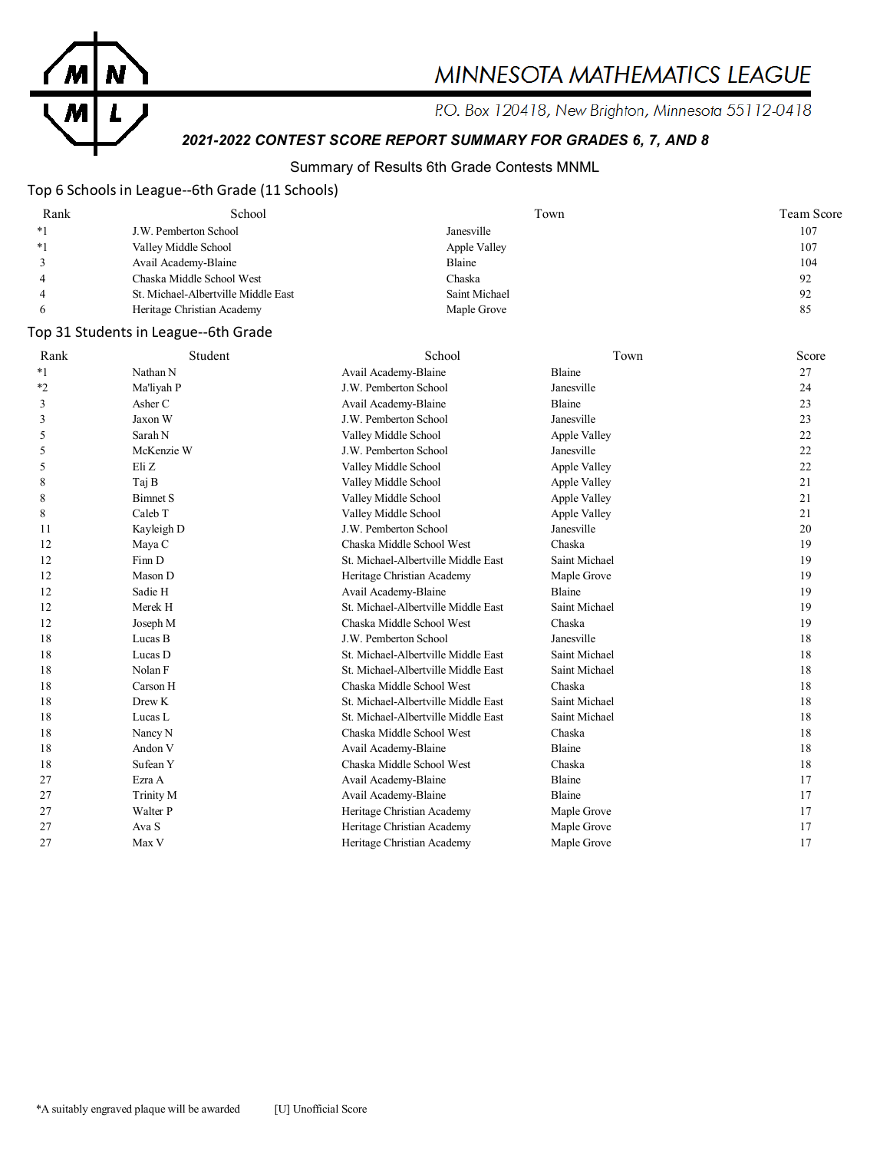

# MINNESOTA MATHEMATICS LEAGUE

P.O. Box 120418, New Brighton, Minnesota 55112-0418

# *2021-2022 CONTEST SCORE REPORT SUMMARY FOR GRADES 6, 7, AND 8*

### Summary of Results 6th Grade Contests MNML

### Top 6 Schools in League--6th Grade (11 Schools)

| Rank | School                              | Town          | Team Score |
|------|-------------------------------------|---------------|------------|
| $*1$ | J.W. Pemberton School               | Janesville    | 107        |
| $*1$ | Valley Middle School                | Apple Valley  | 107        |
|      | Avail Academy-Blaine                | Blaine        | 104        |
|      | Chaska Middle School West           | Chaska        | 92         |
|      | St. Michael-Albertville Middle East | Saint Michael | 92         |
|      | Heritage Christian Academy          | Maple Grove   | 85         |

### Top 31 Students in League--6th Grade

| Rank    | Student         | School                              | Town          | Score |
|---------|-----------------|-------------------------------------|---------------|-------|
| $*_{1}$ | Nathan N        | Avail Academy-Blaine                | <b>Blaine</b> | 27    |
| $*_{2}$ | Ma'liyah P      | J.W. Pemberton School               | Janesville    | 24    |
| 3       | Asher C         | Avail Academy-Blaine                | Blaine        | 23    |
| 3       | Jaxon W         | J.W. Pemberton School               | Janesville    | 23    |
| 5       | Sarah N         | Valley Middle School                | Apple Valley  | 22    |
| 5       | McKenzie W      | J.W. Pemberton School               | Janesville    | 22    |
| 5       | Eli Z           | Valley Middle School                | Apple Valley  | 22    |
| 8       | Taj B           | Valley Middle School                | Apple Valley  | 21    |
| 8       | <b>Bimnet S</b> | Valley Middle School                | Apple Valley  | 21    |
| 8       | Caleb T         | Valley Middle School                | Apple Valley  | 21    |
| 11      | Kayleigh D      | J.W. Pemberton School               | Janesville    | 20    |
| 12      | Maya C          | Chaska Middle School West           | Chaska        | 19    |
| 12      | Finn D          | St. Michael-Albertville Middle East | Saint Michael | 19    |
| 12      | Mason D         | Heritage Christian Academy          | Maple Grove   | 19    |
| 12      | Sadie H         | Avail Academy-Blaine                | <b>Blaine</b> | 19    |
| 12      | Merek H         | St. Michael-Albertville Middle East | Saint Michael | 19    |
| 12      | Joseph M        | Chaska Middle School West           | Chaska        | 19    |
| 18      | Lucas B         | J.W. Pemberton School               | Janesville    | 18    |
| 18      | Lucas D         | St. Michael-Albertville Middle East | Saint Michael | 18    |
| 18      | Nolan F         | St. Michael-Albertville Middle East | Saint Michael | 18    |
| 18      | Carson H        | Chaska Middle School West           | Chaska        | 18    |
| 18      | Drew K          | St. Michael-Albertville Middle East | Saint Michael | 18    |
| 18      | Lucas L         | St. Michael-Albertville Middle East | Saint Michael | 18    |
| 18      | Nancy N         | Chaska Middle School West           | Chaska        | 18    |
| 18      | Andon V         | Avail Academy-Blaine                | Blaine        | 18    |
| 18      | Sufean Y        | Chaska Middle School West           | Chaska        | 18    |
| 27      | Ezra A          | Avail Academy-Blaine                | Blaine        | 17    |
| 27      | Trinity M       | Avail Academy-Blaine                | Blaine        | 17    |
| 27      | Walter P        | Heritage Christian Academy          | Maple Grove   | 17    |
| 27      | Ava S           | Heritage Christian Academy          | Maple Grove   | 17    |
| 27      | Max V           | Heritage Christian Academy          | Maple Grove   | 17    |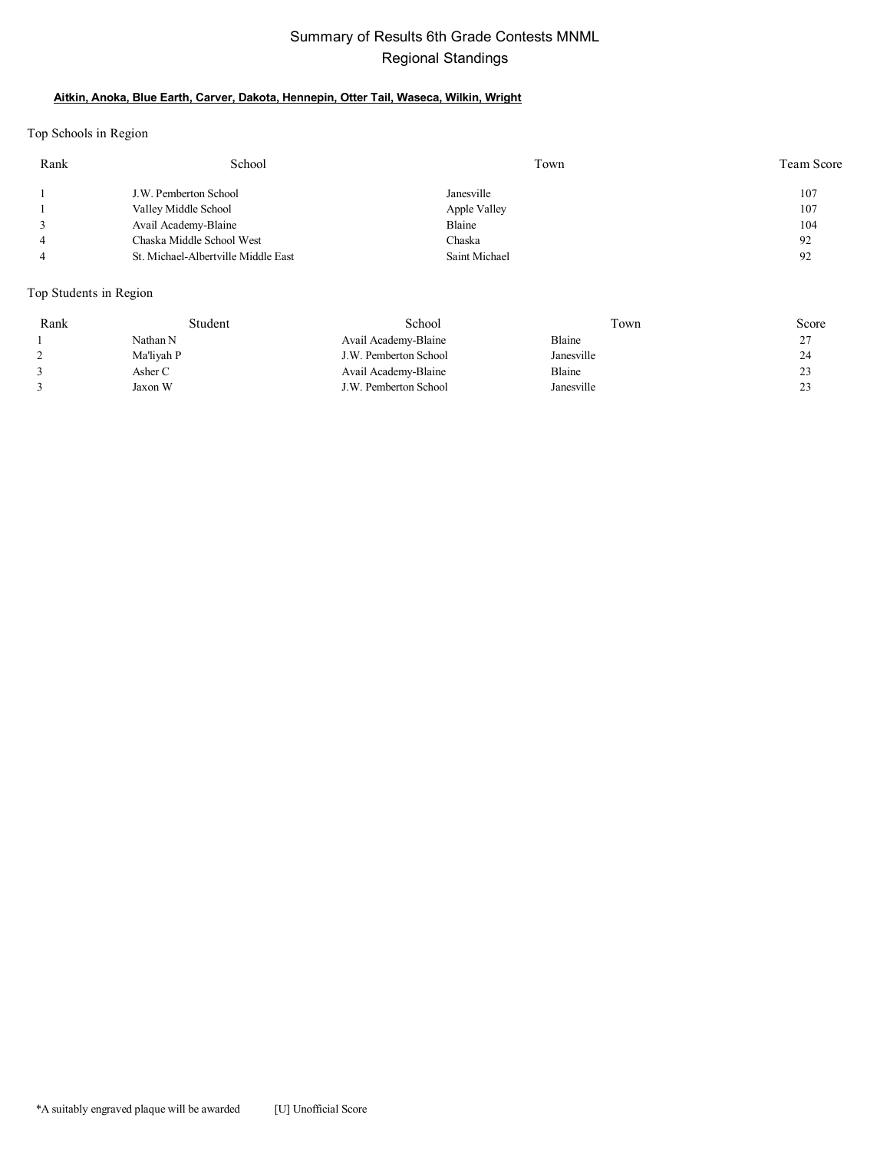### Summary of Results 6th Grade Contests MNML Regional Standings

#### **Aitkin, Anoka, Blue Earth, Carver, Dakota, Hennepin, Otter Tail, Waseca, Wilkin, Wright**

Top Schools in Region

| Rank           | School                              | Town          | Team Score |
|----------------|-------------------------------------|---------------|------------|
|                | J.W. Pemberton School               | Janesville    | 107        |
|                | Valley Middle School                | Apple Valley  | 107        |
|                | Avail Academy-Blaine                | Blaine        | 104        |
| $\overline{4}$ | Chaska Middle School West           | Chaska        | 92         |
|                | St. Michael-Albertville Middle East | Saint Michael | 92         |

Top Students in Region

| Rank | Student    | School                | Town       | Score     |
|------|------------|-----------------------|------------|-----------|
|      | Nathan N   | Avail Academy-Blaine  | Blaine     | 27<br>ر گ |
|      | Ma'liyah P | J.W. Pemberton School | Janesville | 24        |
|      | Asher C    | Avail Academy-Blaine  | Blaine     | 23        |
|      | Jaxon W    | J.W. Pemberton School | Janesville | 23        |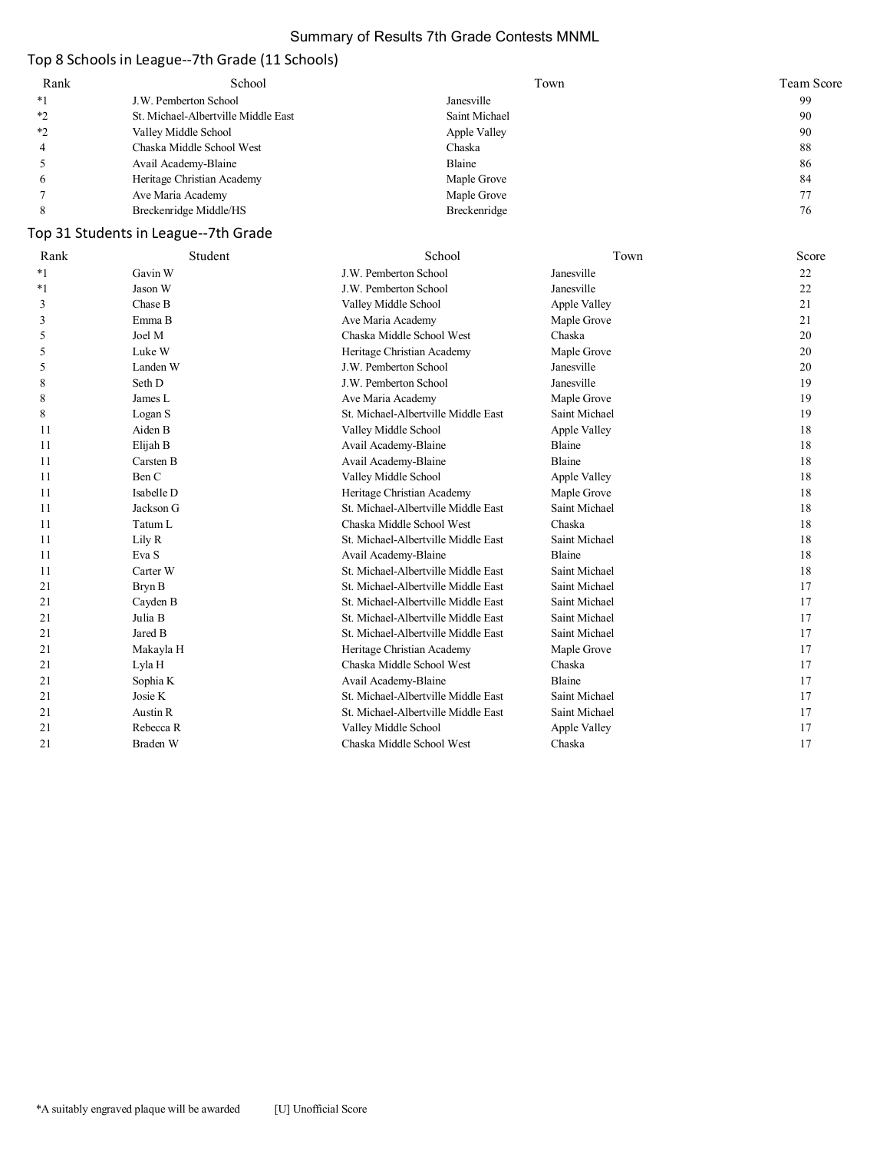### Summary of Results 7th Grade Contests MNML

# Top 8 Schools in League--7th Grade (11 Schools)

| Rank | School                              | Town          | Team Score |
|------|-------------------------------------|---------------|------------|
| $*1$ | J.W. Pemberton School               | Janesville    | 99         |
| $*$  | St. Michael-Albertville Middle East | Saint Michael | 90         |
| $*$  | Valley Middle School                | Apple Valley  | 90         |
|      | Chaska Middle School West           | Chaska        | 88         |
|      | Avail Academy-Blaine                | Blaine        | 86         |
|      | Heritage Christian Academy          | Maple Grove   | 84         |
|      | Ave Maria Academy                   | Maple Grove   |            |
|      | Breckenridge Middle/HS              | Breckenridge  | 76         |

# Top 31 Students in League--7th Grade

| Rank    | Student    | School                              | Town          | Score |
|---------|------------|-------------------------------------|---------------|-------|
| $*_{1}$ | Gavin W    | J.W. Pemberton School               | Janesville    | 22    |
| $*1$    | Jason W    | J.W. Pemberton School               | Janesville    | 22    |
| 3       | Chase B    | Valley Middle School                | Apple Valley  | 21    |
| 3       | Emma B     | Ave Maria Academy                   | Maple Grove   | 21    |
| 5       | Joel M     | Chaska Middle School West           | Chaska        | 20    |
| 5       | Luke W     | Heritage Christian Academy          | Maple Grove   | 20    |
| 5       | Landen W   | J.W. Pemberton School               | Janesville    | 20    |
| 8       | Seth D     | J.W. Pemberton School               | Janesville    | 19    |
| 8       | James L    | Ave Maria Academy                   | Maple Grove   | 19    |
| 8       | Logan S    | St. Michael-Albertville Middle East | Saint Michael | 19    |
| 11      | Aiden B    | Valley Middle School                | Apple Valley  | 18    |
| 11      | Elijah B   | Avail Academy-Blaine                | Blaine        | 18    |
| 11      | Carsten B  | Avail Academy-Blaine                | Blaine        | 18    |
| 11      | Ben C      | Valley Middle School                | Apple Valley  | 18    |
| 11      | Isabelle D | Heritage Christian Academy          | Maple Grove   | 18    |
| 11      | Jackson G  | St. Michael-Albertville Middle East | Saint Michael | 18    |
| 11      | Tatum L    | Chaska Middle School West           | Chaska        | 18    |
| 11      | Lily R     | St. Michael-Albertville Middle East | Saint Michael | 18    |
| 11      | Eva S      | Avail Academy-Blaine                | Blaine        | 18    |
| 11      | Carter W   | St. Michael-Albertville Middle East | Saint Michael | 18    |
| 21      | Bryn B     | St. Michael-Albertville Middle East | Saint Michael | 17    |
| 21      | Cayden B   | St. Michael-Albertville Middle East | Saint Michael | 17    |
| 21      | Julia B    | St. Michael-Albertville Middle East | Saint Michael | 17    |
| 21      | Jared B    | St. Michael-Albertville Middle East | Saint Michael | 17    |
| 21      | Makayla H  | Heritage Christian Academy          | Maple Grove   | 17    |
| 21      | Lyla H     | Chaska Middle School West           | Chaska        | 17    |
| 21      | Sophia K   | Avail Academy-Blaine                | Blaine        | 17    |
| 21      | Josie K    | St. Michael-Albertville Middle East | Saint Michael | 17    |
| 21      | Austin R   | St. Michael-Albertville Middle East | Saint Michael | 17    |
| 21      | Rebecca R  | Valley Middle School                | Apple Valley  | 17    |
| 21      | Braden W   | Chaska Middle School West           | Chaska        | 17    |
|         |            |                                     |               |       |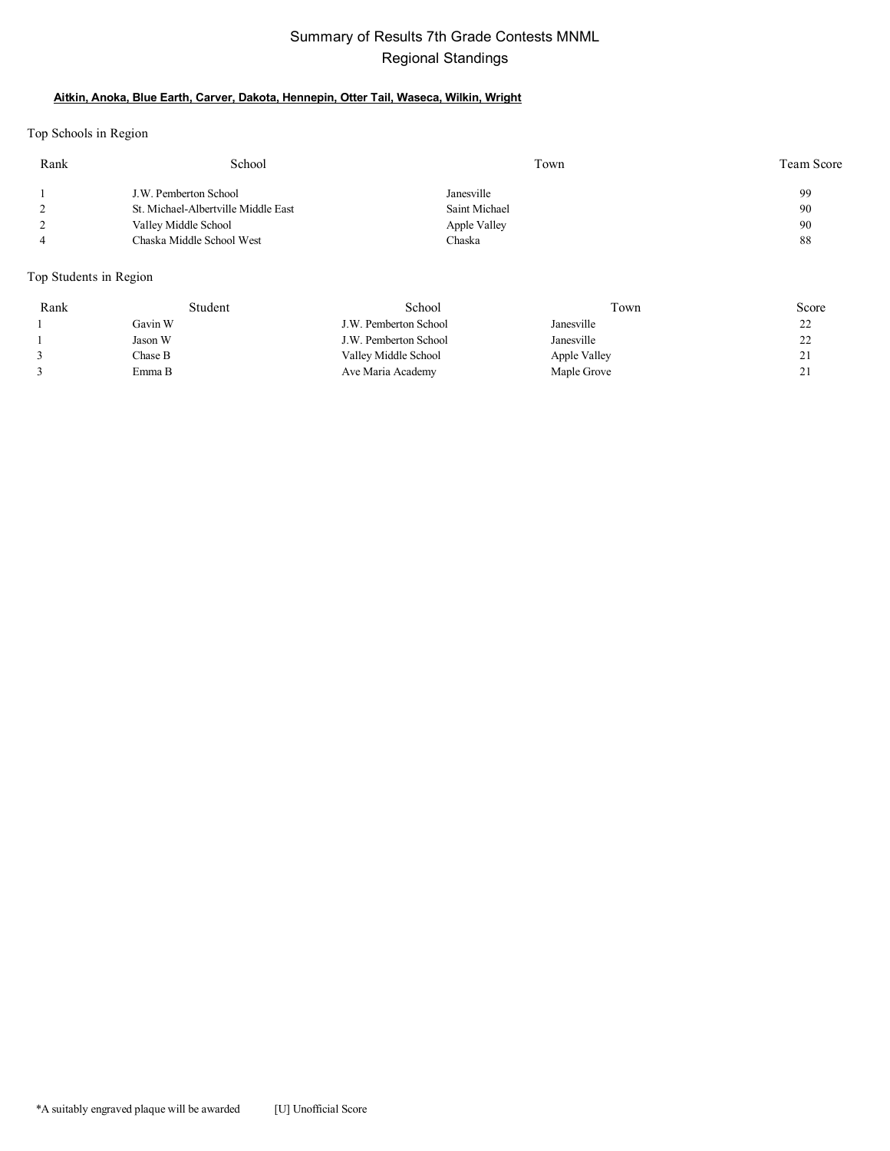### Summary of Results 7th Grade Contests MNML Regional Standings

#### **Aitkin, Anoka, Blue Earth, Carver, Dakota, Hennepin, Otter Tail, Waseca, Wilkin, Wright**

Top Schools in Region

| Rank | School                              | Town          | Team Score |
|------|-------------------------------------|---------------|------------|
|      | J.W. Pemberton School               | Janesville    | 99         |
|      | St. Michael-Albertville Middle East | Saint Michael | 90         |
| ∸    | Valley Middle School                | Apple Valley  | 90         |
|      | Chaska Middle School West           | Chaska        | 88         |
|      |                                     |               |            |

### Top Students in Region

| Rank | Student | School                | Fown         | Score    |
|------|---------|-----------------------|--------------|----------|
|      | Gavin W | J.W. Pemberton School | Janesville   | າາ<br>∠∠ |
|      | Jason W | J.W. Pemberton School | Janesville   | າາ<br>∠∠ |
|      | Chase B | Valley Middle School  | Apple Valley | $\sim$ 1 |
|      | Emma B  | Ave Maria Academy     | Maple Grove  | <u>.</u> |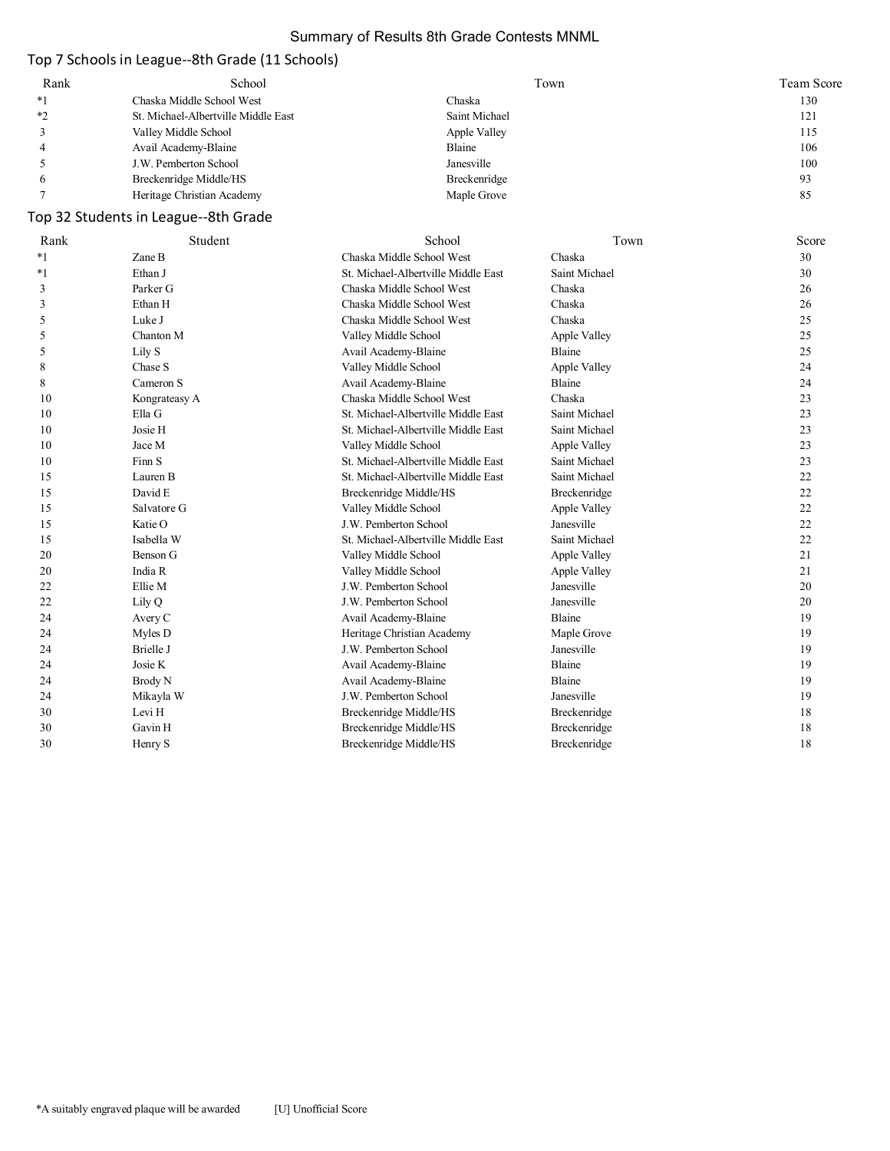### Summary of Results 8th Grade Contests MNML

### Top 7 Schools in League--8th Grade (11 Schools)

| Rank | School                              | Town          | Team Score |
|------|-------------------------------------|---------------|------------|
| *1   | Chaska Middle School West           | Chaska        | 130        |
| *2   | St. Michael-Albertville Middle East | Saint Michael | 121        |
|      | Valley Middle School                | Apple Valley  | 115        |
|      | Avail Academy-Blaine                | Blaine        | 106        |
|      | J.W. Pemberton School               | Janesville    | 100        |
|      | Breckenridge Middle/HS              | Breckenridge  | 93         |
|      | Heritage Christian Academy          | Maple Grove   | 85         |

# Top 32 Students in League--8th Grade

| Rank    | Student       | School                              | Town          | Score |
|---------|---------------|-------------------------------------|---------------|-------|
| $*_{1}$ | Zane B        | Chaska Middle School West           | Chaska        | 30    |
| $^*1$   | Ethan J       | St. Michael-Albertville Middle East | Saint Michael | 30    |
| 3       | Parker G      | Chaska Middle School West           | Chaska        | 26    |
| 3       | Ethan H       | Chaska Middle School West           | Chaska        | 26    |
| 5       | Luke J        | Chaska Middle School West           | Chaska        | 25    |
| 5       | Chanton M     | Valley Middle School                | Apple Valley  | 25    |
| 5       | Lily S        | Avail Academy-Blaine                | Blaine        | 25    |
| 8       | Chase S       | Valley Middle School                | Apple Valley  | 24    |
| 8       | Cameron S     | Avail Academy-Blaine                | Blaine        | 24    |
| 10      | Kongrateasy A | Chaska Middle School West           | Chaska        | 23    |
| 10      | Ella G        | St. Michael-Albertville Middle East | Saint Michael | 23    |
| 10      | Josie H       | St. Michael-Albertville Middle East | Saint Michael | 23    |
| 10      | Jace M        | Valley Middle School                | Apple Valley  | 23    |
| 10      | Finn S        | St. Michael-Albertville Middle East | Saint Michael | 23    |
| 15      | Lauren B      | St. Michael-Albertville Middle East | Saint Michael | 22    |
| 15      | David E       | Breckenridge Middle/HS              | Breckenridge  | 22    |
| 15      | Salvatore G   | Valley Middle School                | Apple Valley  | 22    |
| 15      | Katie O       | J.W. Pemberton School               | Janesville    | 22    |
| 15      | Isabella W    | St. Michael-Albertville Middle East | Saint Michael | 22    |
| 20      | Benson G      | Valley Middle School                | Apple Valley  | 21    |
| 20      | India R       | Valley Middle School                | Apple Valley  | 21    |
| 22      | Ellie M       | J.W. Pemberton School               | Janesville    | 20    |
| 22      | Lily Q        | J.W. Pemberton School               | Janesville    | 20    |
| 24      | Avery C       | Avail Academy-Blaine                | Blaine        | 19    |
| 24      | Myles D       | Heritage Christian Academy          | Maple Grove   | 19    |
| 24      | Brielle J     | J.W. Pemberton School               | Janesville    | 19    |
| 24      | Josie K       | Avail Academy-Blaine                | Blaine        | 19    |
| 24      | Brody N       | Avail Academy-Blaine                | Blaine        | 19    |
| 24      | Mikayla W     | J.W. Pemberton School               | Janesville    | 19    |
| 30      | Levi H        | Breckenridge Middle/HS              | Breckenridge  | 18    |
| 30      | Gavin H       | Breckenridge Middle/HS              | Breckenridge  | 18    |
| 30      | Henry S       | Breckenridge Middle/HS              | Breckenridge  | 18    |
|         |               |                                     |               |       |